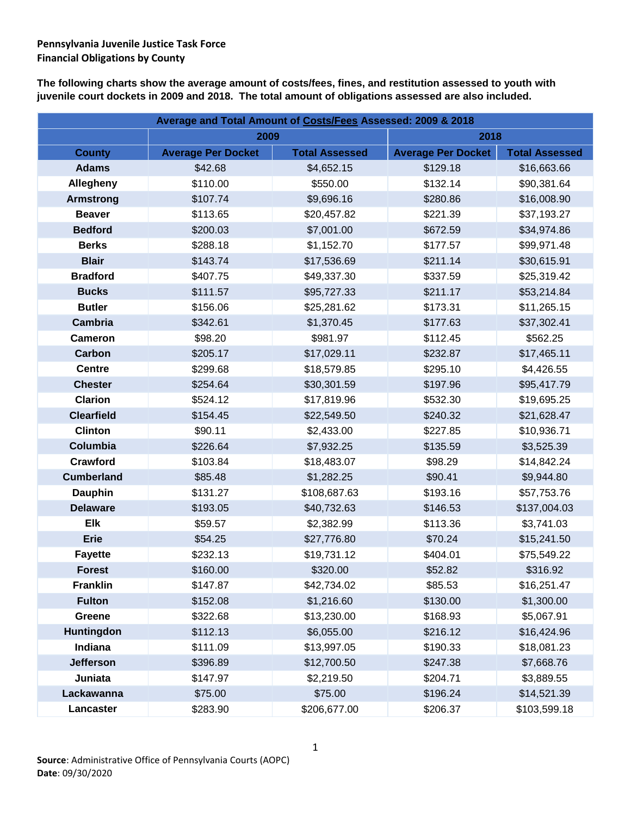**The following charts show the average amount of costs/fees, fines, and restitution assessed to youth with juvenile court dockets in 2009 and 2018. The total amount of obligations assessed are also included.**

| Average and Total Amount of Costs/Fees Assessed: 2009 & 2018 |                           |                       |                           |                       |  |
|--------------------------------------------------------------|---------------------------|-----------------------|---------------------------|-----------------------|--|
|                                                              | 2009                      |                       | 2018                      |                       |  |
| <b>County</b>                                                | <b>Average Per Docket</b> | <b>Total Assessed</b> | <b>Average Per Docket</b> | <b>Total Assessed</b> |  |
| <b>Adams</b>                                                 | \$42.68                   | \$4,652.15            | \$129.18                  | \$16,663.66           |  |
| Allegheny                                                    | \$110.00                  | \$550.00              | \$132.14                  | \$90,381.64           |  |
| <b>Armstrong</b>                                             | \$107.74                  | \$9,696.16            | \$280.86                  | \$16,008.90           |  |
| <b>Beaver</b>                                                | \$113.65                  | \$20,457.82           | \$221.39                  | \$37,193.27           |  |
| <b>Bedford</b>                                               | \$200.03                  | \$7,001.00            | \$672.59                  | \$34,974.86           |  |
| <b>Berks</b>                                                 | \$288.18                  | \$1,152.70            | \$177.57                  | \$99,971.48           |  |
| <b>Blair</b>                                                 | \$143.74                  | \$17,536.69           | \$211.14                  | \$30,615.91           |  |
| <b>Bradford</b>                                              | \$407.75                  | \$49,337.30           | \$337.59                  | \$25,319.42           |  |
| <b>Bucks</b>                                                 | \$111.57                  | \$95,727.33           | \$211.17                  | \$53,214.84           |  |
| <b>Butler</b>                                                | \$156.06                  | \$25,281.62           | \$173.31                  | \$11,265.15           |  |
| <b>Cambria</b>                                               | \$342.61                  | \$1,370.45            | \$177.63                  | \$37,302.41           |  |
| <b>Cameron</b>                                               | \$98.20                   | \$981.97              | \$112.45                  | \$562.25              |  |
| <b>Carbon</b>                                                | \$205.17                  | \$17,029.11           | \$232.87                  | \$17,465.11           |  |
| <b>Centre</b>                                                | \$299.68                  | \$18,579.85           | \$295.10                  | \$4,426.55            |  |
| <b>Chester</b>                                               | \$254.64                  | \$30,301.59           | \$197.96                  | \$95,417.79           |  |
| <b>Clarion</b>                                               | \$524.12                  | \$17,819.96           | \$532.30                  | \$19,695.25           |  |
| <b>Clearfield</b>                                            | \$154.45                  | \$22,549.50           | \$240.32                  | \$21,628.47           |  |
| <b>Clinton</b>                                               | \$90.11                   | \$2,433.00            | \$227.85                  | \$10,936.71           |  |
| Columbia                                                     | \$226.64                  | \$7,932.25            | \$135.59                  | \$3,525.39            |  |
| Crawford                                                     | \$103.84                  | \$18,483.07           | \$98.29                   | \$14,842.24           |  |
| <b>Cumberland</b>                                            | \$85.48                   | \$1,282.25            | \$90.41                   | \$9,944.80            |  |
| <b>Dauphin</b>                                               | \$131.27                  | \$108,687.63          | \$193.16                  | \$57,753.76           |  |
| <b>Delaware</b>                                              | \$193.05                  | \$40,732.63           | \$146.53                  | \$137,004.03          |  |
| <b>Elk</b>                                                   | \$59.57                   | \$2,382.99            | \$113.36                  | \$3,741.03            |  |
| <b>Erie</b>                                                  | \$54.25                   | \$27,776.80           | \$70.24                   | \$15,241.50           |  |
| <b>Fayette</b>                                               | \$232.13                  | \$19,731.12           | \$404.01                  | \$75,549.22           |  |
| <b>Forest</b>                                                | \$160.00                  | \$320.00              | \$52.82                   | \$316.92              |  |
| <b>Franklin</b>                                              | \$147.87                  | \$42,734.02           | \$85.53                   | \$16,251.47           |  |
| <b>Fulton</b>                                                | \$152.08                  | \$1,216.60            | \$130.00                  | \$1,300.00            |  |
| <b>Greene</b>                                                | \$322.68                  | \$13,230.00           | \$168.93                  | \$5,067.91            |  |
| <b>Huntingdon</b>                                            | \$112.13                  | \$6,055.00            | \$216.12                  | \$16,424.96           |  |
| Indiana                                                      | \$111.09                  | \$13,997.05           | \$190.33                  | \$18,081.23           |  |
| <b>Jefferson</b>                                             | \$396.89                  | \$12,700.50           | \$247.38                  | \$7,668.76            |  |
| Juniata                                                      | \$147.97                  | \$2,219.50            | \$204.71                  | \$3,889.55            |  |
| Lackawanna                                                   | \$75.00                   | \$75.00               | \$196.24                  | \$14,521.39           |  |
| Lancaster                                                    | \$283.90                  | \$206,677.00          | \$206.37                  | \$103,599.18          |  |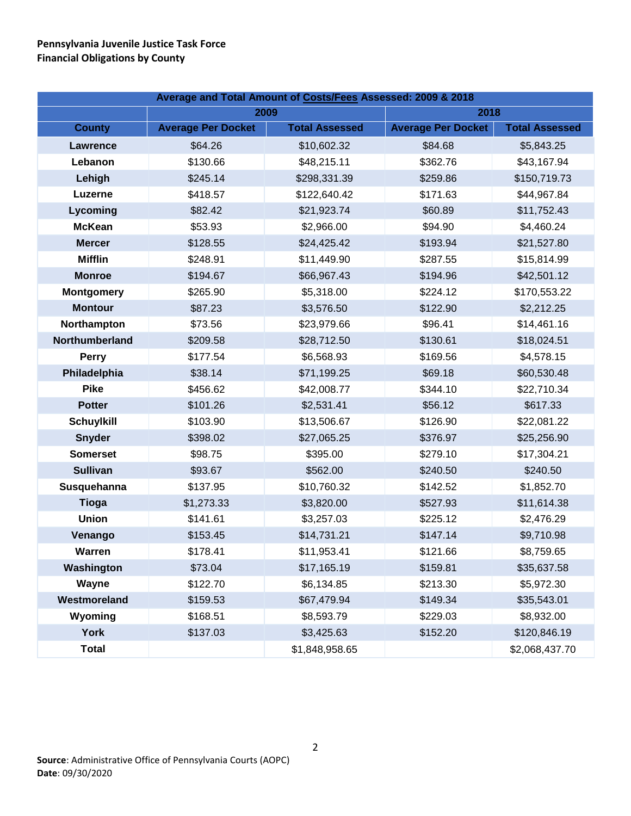| Average and Total Amount of Costs/Fees Assessed: 2009 & 2018 |                           |                       |                           |                       |  |
|--------------------------------------------------------------|---------------------------|-----------------------|---------------------------|-----------------------|--|
|                                                              | 2009                      |                       | 2018                      |                       |  |
| <b>County</b>                                                | <b>Average Per Docket</b> | <b>Total Assessed</b> | <b>Average Per Docket</b> | <b>Total Assessed</b> |  |
| <b>Lawrence</b>                                              | \$64.26                   | \$10,602.32           | \$84.68                   | \$5,843.25            |  |
| Lebanon                                                      | \$130.66                  | \$48,215.11           | \$362.76                  | \$43,167.94           |  |
| Lehigh                                                       | \$245.14                  | \$298,331.39          | \$259.86                  | \$150,719.73          |  |
| Luzerne                                                      | \$418.57                  | \$122,640.42          | \$171.63                  | \$44,967.84           |  |
| Lycoming                                                     | \$82.42                   | \$21,923.74           | \$60.89                   | \$11,752.43           |  |
| <b>McKean</b>                                                | \$53.93                   | \$2,966.00            | \$94.90                   | \$4,460.24            |  |
| <b>Mercer</b>                                                | \$128.55                  | \$24,425.42           | \$193.94                  | \$21,527.80           |  |
| <b>Mifflin</b>                                               | \$248.91                  | \$11,449.90           | \$287.55                  | \$15,814.99           |  |
| <b>Monroe</b>                                                | \$194.67                  | \$66,967.43           | \$194.96                  | \$42,501.12           |  |
| <b>Montgomery</b>                                            | \$265.90                  | \$5,318.00            | \$224.12                  | \$170,553.22          |  |
| <b>Montour</b>                                               | \$87.23                   | \$3,576.50            | \$122.90                  | \$2,212.25            |  |
| Northampton                                                  | \$73.56                   | \$23,979.66           | \$96.41                   | \$14,461.16           |  |
| Northumberland                                               | \$209.58                  | \$28,712.50           | \$130.61                  | \$18,024.51           |  |
| <b>Perry</b>                                                 | \$177.54                  | \$6,568.93            | \$169.56                  | \$4,578.15            |  |
| Philadelphia                                                 | \$38.14                   | \$71,199.25           | \$69.18                   | \$60,530.48           |  |
| <b>Pike</b>                                                  | \$456.62                  | \$42,008.77           | \$344.10                  | \$22,710.34           |  |
| <b>Potter</b>                                                | \$101.26                  | \$2,531.41            | \$56.12                   | \$617.33              |  |
| <b>Schuylkill</b>                                            | \$103.90                  | \$13,506.67           | \$126.90                  | \$22,081.22           |  |
| <b>Snyder</b>                                                | \$398.02                  | \$27,065.25           | \$376.97                  | \$25,256.90           |  |
| <b>Somerset</b>                                              | \$98.75                   | \$395.00              | \$279.10                  | \$17,304.21           |  |
| <b>Sullivan</b>                                              | \$93.67                   | \$562.00              | \$240.50                  | \$240.50              |  |
| Susquehanna                                                  | \$137.95                  | \$10,760.32           | \$142.52                  | \$1,852.70            |  |
| <b>Tioga</b>                                                 | \$1,273.33                | \$3,820.00            | \$527.93                  | \$11,614.38           |  |
| <b>Union</b>                                                 | \$141.61                  | \$3,257.03            | \$225.12                  | \$2,476.29            |  |
| Venango                                                      | \$153.45                  | \$14,731.21           | \$147.14                  | \$9,710.98            |  |
| Warren                                                       | \$178.41                  | \$11,953.41           | \$121.66                  | \$8,759.65            |  |
| Washington                                                   | \$73.04                   | \$17,165.19           | \$159.81                  | \$35,637.58           |  |
| Wayne                                                        | \$122.70                  | \$6,134.85            | \$213.30                  | \$5,972.30            |  |
| Westmoreland                                                 | \$159.53                  | \$67,479.94           | \$149.34                  | \$35,543.01           |  |
| Wyoming                                                      | \$168.51                  | \$8,593.79            | \$229.03                  | \$8,932.00            |  |
| <b>York</b>                                                  | \$137.03                  | \$3,425.63            | \$152.20                  | \$120,846.19          |  |
| <b>Total</b>                                                 |                           | \$1,848,958.65        |                           | \$2,068,437.70        |  |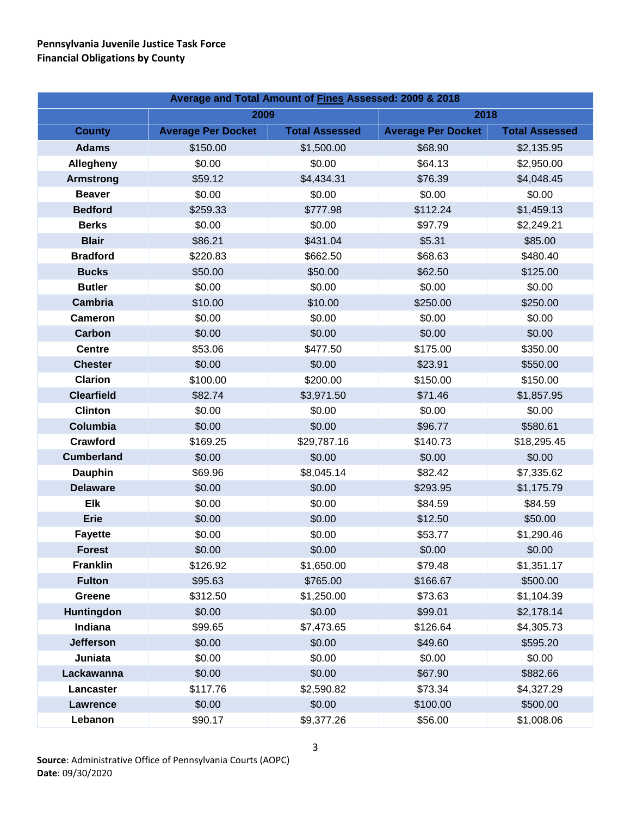| Average and Total Amount of Fines Assessed: 2009 & 2018 |                           |                       |                           |                       |  |
|---------------------------------------------------------|---------------------------|-----------------------|---------------------------|-----------------------|--|
|                                                         | 2009                      |                       | 2018                      |                       |  |
| <b>County</b>                                           | <b>Average Per Docket</b> | <b>Total Assessed</b> | <b>Average Per Docket</b> | <b>Total Assessed</b> |  |
| <b>Adams</b>                                            | \$150.00                  | \$1,500.00            | \$68.90                   | \$2,135.95            |  |
| Allegheny                                               | \$0.00                    | \$0.00                | \$64.13                   | \$2,950.00            |  |
| <b>Armstrong</b>                                        | \$59.12                   | \$4,434.31            | \$76.39                   | \$4,048.45            |  |
| <b>Beaver</b>                                           | \$0.00                    | \$0.00                | \$0.00                    | \$0.00                |  |
| <b>Bedford</b>                                          | \$259.33                  | \$777.98              | \$112.24                  | \$1,459.13            |  |
| <b>Berks</b>                                            | \$0.00                    | \$0.00                | \$97.79                   | \$2,249.21            |  |
| <b>Blair</b>                                            | \$86.21                   | \$431.04              | \$5.31                    | \$85.00               |  |
| <b>Bradford</b>                                         | \$220.83                  | \$662.50              | \$68.63                   | \$480.40              |  |
| <b>Bucks</b>                                            | \$50.00                   | \$50.00               | \$62.50                   | \$125.00              |  |
| <b>Butler</b>                                           | \$0.00                    | \$0.00                | \$0.00                    | \$0.00                |  |
| <b>Cambria</b>                                          | \$10.00                   | \$10.00               | \$250.00                  | \$250.00              |  |
| <b>Cameron</b>                                          | \$0.00                    | \$0.00                | \$0.00                    | \$0.00                |  |
| Carbon                                                  | \$0.00                    | \$0.00                | \$0.00                    | \$0.00                |  |
| <b>Centre</b>                                           | \$53.06                   | \$477.50              | \$175.00                  | \$350.00              |  |
| <b>Chester</b>                                          | \$0.00                    | \$0.00                | \$23.91                   | \$550.00              |  |
| Clarion                                                 | \$100.00                  | \$200.00              | \$150.00                  | \$150.00              |  |
| <b>Clearfield</b>                                       | \$82.74                   | \$3,971.50            | \$71.46                   | \$1,857.95            |  |
| <b>Clinton</b>                                          | \$0.00                    | \$0.00                | \$0.00                    | \$0.00                |  |
| Columbia                                                | \$0.00                    | \$0.00                | \$96.77                   | \$580.61              |  |
| <b>Crawford</b>                                         | \$169.25                  | \$29,787.16           | \$140.73                  | \$18,295.45           |  |
| <b>Cumberland</b>                                       | \$0.00                    | \$0.00                | \$0.00                    | \$0.00                |  |
| <b>Dauphin</b>                                          | \$69.96                   | \$8,045.14            | \$82.42                   | \$7,335.62            |  |
| <b>Delaware</b>                                         | \$0.00                    | \$0.00                | \$293.95                  | \$1,175.79            |  |
| <b>Elk</b>                                              | \$0.00                    | \$0.00                | \$84.59                   | \$84.59               |  |
| <b>Erie</b>                                             | \$0.00                    | \$0.00                | \$12.50                   | \$50.00               |  |
| <b>Fayette</b>                                          | \$0.00                    | \$0.00                | \$53.77                   | \$1,290.46            |  |
| <b>Forest</b>                                           | \$0.00                    | \$0.00                | \$0.00                    | \$0.00                |  |
| <b>Franklin</b>                                         | \$126.92                  | \$1,650.00            | \$79.48                   | \$1,351.17            |  |
| <b>Fulton</b>                                           | \$95.63                   | \$765.00              | \$166.67                  | \$500.00              |  |
| Greene                                                  | \$312.50                  | \$1,250.00            | \$73.63                   | \$1,104.39            |  |
| Huntingdon                                              | \$0.00                    | \$0.00                | \$99.01                   | \$2,178.14            |  |
| Indiana                                                 | \$99.65                   | \$7,473.65            | \$126.64                  | \$4,305.73            |  |
| <b>Jefferson</b>                                        | \$0.00                    | \$0.00                | \$49.60                   | \$595.20              |  |
| Juniata                                                 | \$0.00                    | \$0.00                | \$0.00                    | \$0.00                |  |
| Lackawanna                                              | \$0.00                    | \$0.00                | \$67.90                   | \$882.66              |  |
| Lancaster                                               | \$117.76                  | \$2,590.82            | \$73.34                   | \$4,327.29            |  |
| <b>Lawrence</b>                                         | \$0.00                    | \$0.00                | \$100.00                  | \$500.00              |  |
| Lebanon                                                 | \$90.17                   | \$9,377.26            | \$56.00                   | \$1,008.06            |  |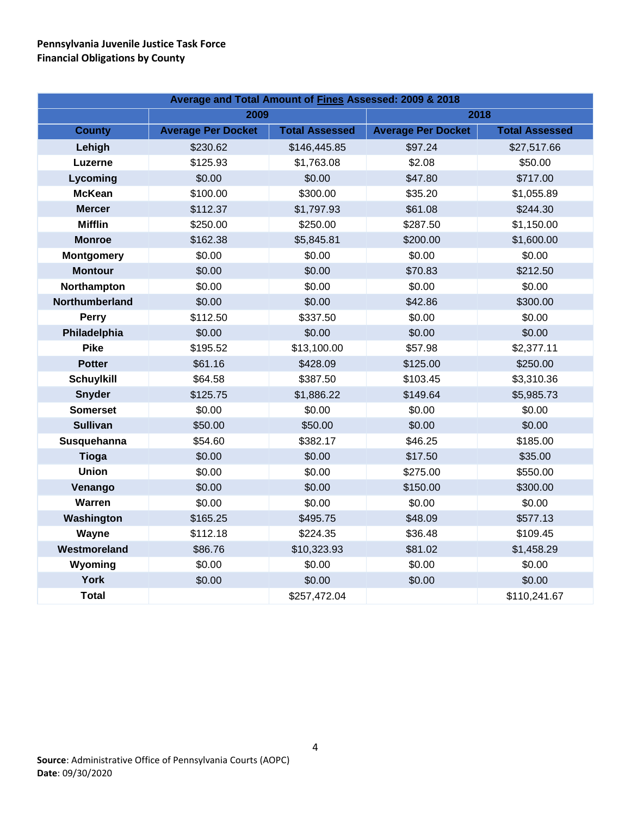| Average and Total Amount of Fines Assessed: 2009 & 2018 |                           |                       |                           |                       |  |
|---------------------------------------------------------|---------------------------|-----------------------|---------------------------|-----------------------|--|
|                                                         | 2009                      |                       | 2018                      |                       |  |
| <b>County</b>                                           | <b>Average Per Docket</b> | <b>Total Assessed</b> | <b>Average Per Docket</b> | <b>Total Assessed</b> |  |
| Lehigh                                                  | \$230.62                  | \$146,445.85          | \$97.24                   | \$27,517.66           |  |
| Luzerne                                                 | \$125.93                  | \$1,763.08            | \$2.08                    | \$50.00               |  |
| Lycoming                                                | \$0.00                    | \$0.00                | \$47.80                   | \$717.00              |  |
| <b>McKean</b>                                           | \$100.00                  | \$300.00              | \$35.20                   | \$1,055.89            |  |
| <b>Mercer</b>                                           | \$112.37                  | \$1,797.93            | \$61.08                   | \$244.30              |  |
| <b>Mifflin</b>                                          | \$250.00                  | \$250.00              | \$287.50                  | \$1,150.00            |  |
| <b>Monroe</b>                                           | \$162.38                  | \$5,845.81            | \$200.00                  | \$1,600.00            |  |
| <b>Montgomery</b>                                       | \$0.00                    | \$0.00                | \$0.00                    | \$0.00                |  |
| <b>Montour</b>                                          | \$0.00                    | \$0.00                | \$70.83                   | \$212.50              |  |
| Northampton                                             | \$0.00                    | \$0.00                | \$0.00                    | \$0.00                |  |
| Northumberland                                          | \$0.00                    | \$0.00                | \$42.86                   | \$300.00              |  |
| Perry                                                   | \$112.50                  | \$337.50              | \$0.00                    | \$0.00                |  |
| Philadelphia                                            | \$0.00                    | \$0.00                | \$0.00                    | \$0.00                |  |
| <b>Pike</b>                                             | \$195.52                  | \$13,100.00           | \$57.98                   | \$2,377.11            |  |
| <b>Potter</b>                                           | \$61.16                   | \$428.09              | \$125.00                  | \$250.00              |  |
| <b>Schuylkill</b>                                       | \$64.58                   | \$387.50              | \$103.45                  | \$3,310.36            |  |
| <b>Snyder</b>                                           | \$125.75                  | \$1,886.22            | \$149.64                  | \$5,985.73            |  |
| <b>Somerset</b>                                         | \$0.00                    | \$0.00                | \$0.00                    | \$0.00                |  |
| <b>Sullivan</b>                                         | \$50.00                   | \$50.00               | \$0.00                    | \$0.00                |  |
| Susquehanna                                             | \$54.60                   | \$382.17              | \$46.25                   | \$185.00              |  |
| <b>Tioga</b>                                            | \$0.00                    | \$0.00                | \$17.50                   | \$35.00               |  |
| <b>Union</b>                                            | \$0.00                    | \$0.00                | \$275.00                  | \$550.00              |  |
| Venango                                                 | \$0.00                    | \$0.00                | \$150.00                  | \$300.00              |  |
| Warren                                                  | \$0.00                    | \$0.00                | \$0.00                    | \$0.00                |  |
| Washington                                              | \$165.25                  | \$495.75              | \$48.09                   | \$577.13              |  |
| Wayne                                                   | \$112.18                  | \$224.35              | \$36.48                   | \$109.45              |  |
| Westmoreland                                            | \$86.76                   | \$10,323.93           | \$81.02                   | \$1,458.29            |  |
| Wyoming                                                 | \$0.00                    | \$0.00                | \$0.00                    | \$0.00                |  |
| <b>York</b>                                             | \$0.00                    | \$0.00                | \$0.00                    | \$0.00                |  |
| <b>Total</b>                                            |                           | \$257,472.04          |                           | \$110,241.67          |  |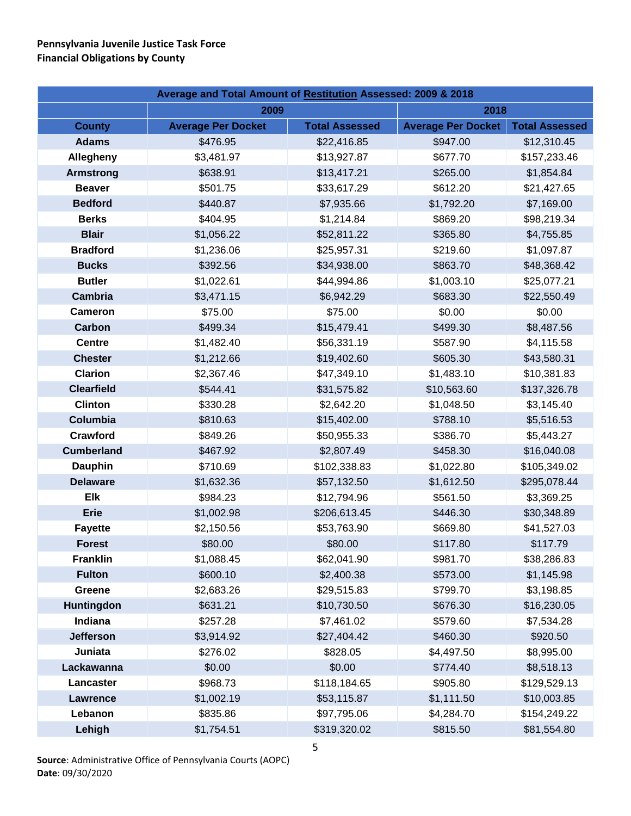| Average and Total Amount of Restitution Assessed: 2009 & 2018 |                           |                       |                           |                       |  |
|---------------------------------------------------------------|---------------------------|-----------------------|---------------------------|-----------------------|--|
|                                                               | 2018<br>2009              |                       |                           |                       |  |
| <b>County</b>                                                 | <b>Average Per Docket</b> | <b>Total Assessed</b> | <b>Average Per Docket</b> | <b>Total Assessed</b> |  |
| <b>Adams</b>                                                  | \$476.95                  | \$22,416.85           | \$947.00                  | \$12,310.45           |  |
| Allegheny                                                     | \$3,481.97                | \$13,927.87           | \$677.70                  | \$157,233.46          |  |
| <b>Armstrong</b>                                              | \$638.91                  | \$13,417.21           | \$265.00                  | \$1,854.84            |  |
| <b>Beaver</b>                                                 | \$501.75                  | \$33,617.29           | \$612.20                  | \$21,427.65           |  |
| <b>Bedford</b>                                                | \$440.87                  | \$7,935.66            | \$1,792.20                | \$7,169.00            |  |
| <b>Berks</b>                                                  | \$404.95                  | \$1,214.84            | \$869.20                  | \$98,219.34           |  |
| <b>Blair</b>                                                  | \$1,056.22                | \$52,811.22           | \$365.80                  | \$4,755.85            |  |
| <b>Bradford</b>                                               | \$1,236.06                | \$25,957.31           | \$219.60                  | \$1,097.87            |  |
| <b>Bucks</b>                                                  | \$392.56                  | \$34,938.00           | \$863.70                  | \$48,368.42           |  |
| <b>Butler</b>                                                 | \$1,022.61                | \$44,994.86           | \$1,003.10                | \$25,077.21           |  |
| Cambria                                                       | \$3,471.15                | \$6,942.29            | \$683.30                  | \$22,550.49           |  |
| <b>Cameron</b>                                                | \$75.00                   | \$75.00               | \$0.00                    | \$0.00                |  |
| <b>Carbon</b>                                                 | \$499.34                  | \$15,479.41           | \$499.30                  | \$8,487.56            |  |
| <b>Centre</b>                                                 | \$1,482.40                | \$56,331.19           | \$587.90                  | \$4,115.58            |  |
| <b>Chester</b>                                                | \$1,212.66                | \$19,402.60           | \$605.30                  | \$43,580.31           |  |
| <b>Clarion</b>                                                | \$2,367.46                | \$47,349.10           | \$1,483.10                | \$10,381.83           |  |
| <b>Clearfield</b>                                             | \$544.41                  | \$31,575.82           | \$10,563.60               | \$137,326.78          |  |
| <b>Clinton</b>                                                | \$330.28                  | \$2,642.20            | \$1,048.50                | \$3,145.40            |  |
| Columbia                                                      | \$810.63                  | \$15,402.00           | \$788.10                  | \$5,516.53            |  |
| Crawford                                                      | \$849.26                  | \$50,955.33           | \$386.70                  | \$5,443.27            |  |
| <b>Cumberland</b>                                             | \$467.92                  | \$2,807.49            | \$458.30                  | \$16,040.08           |  |
| <b>Dauphin</b>                                                | \$710.69                  | \$102,338.83          | \$1,022.80                | \$105,349.02          |  |
| <b>Delaware</b>                                               | \$1,632.36                | \$57,132.50           | \$1,612.50                | \$295,078.44          |  |
| <b>Elk</b>                                                    | \$984.23                  | \$12,794.96           | \$561.50                  | \$3,369.25            |  |
| <b>Erie</b>                                                   | \$1,002.98                | \$206,613.45          | \$446.30                  | \$30,348.89           |  |
| <b>Fayette</b>                                                | \$2,150.56                | \$53,763.90           | \$669.80                  | \$41,527.03           |  |
| <b>Forest</b>                                                 | \$80.00                   | \$80.00               | \$117.80                  | \$117.79              |  |
| <b>Franklin</b>                                               | \$1,088.45                | \$62,041.90           | \$981.70                  | \$38,286.83           |  |
| <b>Fulton</b>                                                 | \$600.10                  | \$2,400.38            | \$573.00                  | \$1,145.98            |  |
| Greene                                                        | \$2,683.26                | \$29,515.83           | \$799.70                  | \$3,198.85            |  |
| <b>Huntingdon</b>                                             | \$631.21                  | \$10,730.50           | \$676.30                  | \$16,230.05           |  |
| Indiana                                                       | \$257.28                  | \$7,461.02            | \$579.60                  | \$7,534.28            |  |
| <b>Jefferson</b>                                              | \$3,914.92                | \$27,404.42           | \$460.30                  | \$920.50              |  |
| Juniata                                                       | \$276.02                  | \$828.05              | \$4,497.50                | \$8,995.00            |  |
| Lackawanna                                                    | \$0.00                    | \$0.00                | \$774.40                  | \$8,518.13            |  |
| Lancaster                                                     | \$968.73                  | \$118,184.65          | \$905.80                  | \$129,529.13          |  |
| <b>Lawrence</b>                                               | \$1,002.19                | \$53,115.87           | \$1,111.50                | \$10,003.85           |  |
| Lebanon                                                       | \$835.86                  | \$97,795.06           | \$4,284.70                | \$154,249.22          |  |
| Lehigh                                                        | \$1,754.51                | \$319,320.02          | \$815.50                  | \$81,554.80           |  |